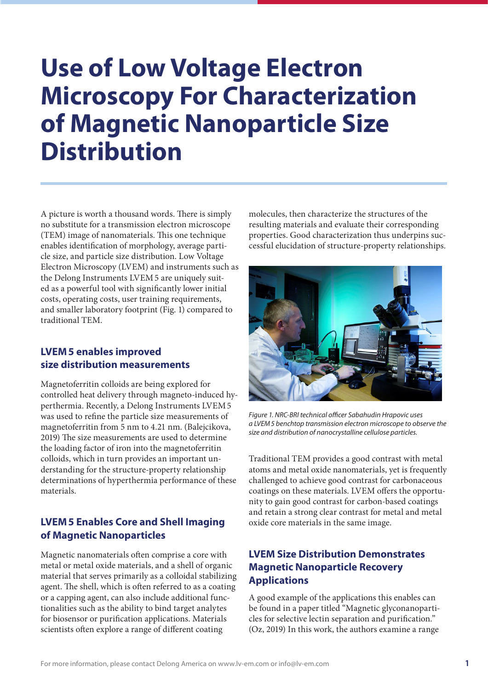# **Use of Low Voltage Electron Microscopy For Characterization of Magnetic Nanoparticle Size Distribution**

A picture is worth a thousand words. There is simply no substitute for a transmission electron microscope (TEM) image of nanomaterials. This one technique enables identification of morphology, average particle size, and particle size distribution. Low Voltage Electron Microscopy (LVEM) and instruments such as the Delong Instruments LVEM5 are uniquely suited as a powerful tool with significantly lower initial costs, operating costs, user training requirements, and smaller laboratory footprint (Fig. 1) compared to traditional TEM.

## **LVEM5 enables improved size distribution measurements**

Magnetoferritin colloids are being explored for controlled heat delivery through magneto-induced hyperthermia. Recently, a Delong Instruments LVEM5 was used to refine the particle size measurements of magnetoferritin from 5 nm to 4.21 nm. (Balejcikova, 2019) The size measurements are used to determine the loading factor of iron into the magnetoferritin colloids, which in turn provides an important understanding for the structure-property relationship determinations of hyperthermia performance of these materials.

# **LVEM5 Enables Core and Shell Imaging of Magnetic Nanoparticles**

Magnetic nanomaterials often comprise a core with metal or metal oxide materials, and a shell of organic material that serves primarily as a colloidal stabilizing agent. The shell, which is often referred to as a coating or a capping agent, can also include additional functionalities such as the ability to bind target analytes for biosensor or purification applications. Materials scientists often explore a range of different coating

molecules, then characterize the structures of the resulting materials and evaluate their corresponding properties. Good characterization thus underpins successful elucidation of structure-property relationships.



*Figure 1. NRC-BRI technical officer Sabahudin Hrapovic uses a LVEM5 benchtop transmission electron microscope to observe the size and distribution of nanocrystalline cellulose particles.*

Traditional TEM provides a good contrast with metal atoms and metal oxide nanomaterials, yet is frequently challenged to achieve good contrast for carbonaceous coatings on these materials. LVEM offers the opportunity to gain good contrast for carbon-based coatings and retain a strong clear contrast for metal and metal oxide core materials in the same image.

# **LVEM Size Distribution Demonstrates Magnetic Nanoparticle Recovery Applications**

A good example of the applications this enables can be found in a paper titled "Magnetic glyconanoparticles for selective lectin separation and purification." (Oz, 2019) In this work, the authors examine a range